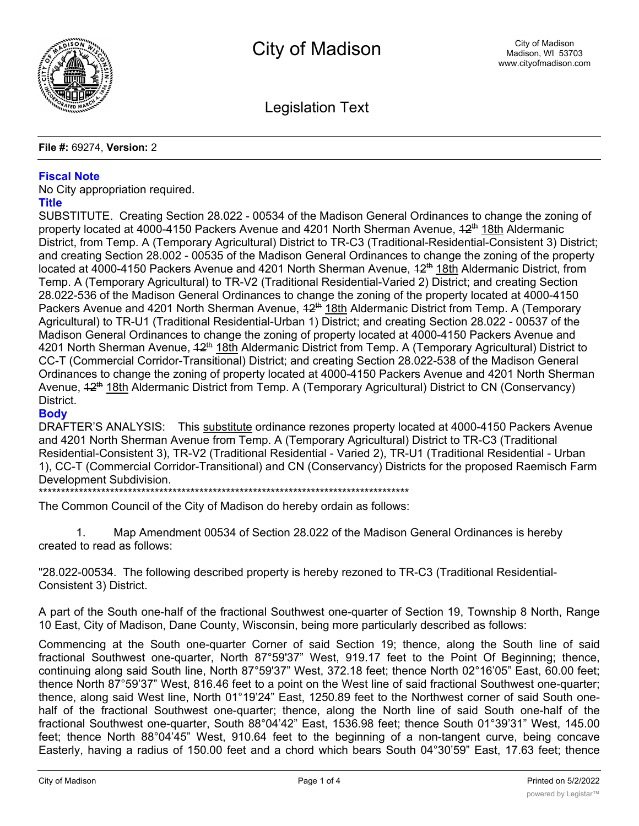

Legislation Text

## **File #:** 69274, **Version:** 2

# **Fiscal Note**

No City appropriation required.

## **Title**

SUBSTITUTE. Creating Section 28.022 - 00534 of the Madison General Ordinances to change the zoning of property located at 4000-4150 Packers Avenue and 4201 North Sherman Avenue, 42<sup>th</sup> 18th Aldermanic District, from Temp. A (Temporary Agricultural) District to TR-C3 (Traditional-Residential-Consistent 3) District; and creating Section 28.002 - 00535 of the Madison General Ordinances to change the zoning of the property located at 4000-4150 Packers Avenue and 4201 North Sherman Avenue, 42<sup>th</sup> 18th Aldermanic District, from Temp. A (Temporary Agricultural) to TR-V2 (Traditional Residential-Varied 2) District; and creating Section 28.022-536 of the Madison General Ordinances to change the zoning of the property located at 4000-4150 Packers Avenue and 4201 North Sherman Avenue,  $42<sup>th</sup> 18th$  Aldermanic District from Temp. A (Temporary Agricultural) to TR-U1 (Traditional Residential-Urban 1) District; and creating Section 28.022 - 00537 of the Madison General Ordinances to change the zoning of property located at 4000-4150 Packers Avenue and 4201 North Sherman Avenue,  $42<sup>th</sup> 18th$  Aldermanic District from Temp. A (Temporary Agricultural) District to CC-T (Commercial Corridor-Transitional) District; and creating Section 28.022-538 of the Madison General Ordinances to change the zoning of property located at 4000-4150 Packers Avenue and 4201 North Sherman Avenue,  $42^{th}$  18th Aldermanic District from Temp. A (Temporary Agricultural) District to CN (Conservancy) District.

# **Body**

DRAFTER'S ANALYSIS: This substitute ordinance rezones property located at 4000-4150 Packers Avenue and 4201 North Sherman Avenue from Temp. A (Temporary Agricultural) District to TR-C3 (Traditional Residential-Consistent 3), TR-V2 (Traditional Residential - Varied 2), TR-U1 (Traditional Residential - Urban 1), CC-T (Commercial Corridor-Transitional) and CN (Conservancy) Districts for the proposed Raemisch Farm Development Subdivision.

\*\*\*\*\*\*\*\*\*\*\*\*\*\*\*\*\*\*\*\*\*\*\*\*\*\*\*\*\*\*\*\*\*\*\*\*\*\*\*\*\*\*\*\*\*\*\*\*\*\*\*\*\*\*\*\*\*\*\*\*\*\*\*\*\*\*\*\*\*\*\*\*\*\*\*\*\*\*\*\*\*\*\*

The Common Council of the City of Madison do hereby ordain as follows:

1. Map Amendment 00534 of Section 28.022 of the Madison General Ordinances is hereby created to read as follows:

"28.022-00534. The following described property is hereby rezoned to TR-C3 (Traditional Residential-Consistent 3) District.

A part of the South one-half of the fractional Southwest one-quarter of Section 19, Township 8 North, Range 10 East, City of Madison, Dane County, Wisconsin, being more particularly described as follows:

Commencing at the South one-quarter Corner of said Section 19; thence, along the South line of said fractional Southwest one-quarter, North 87°59'37" West, 919.17 feet to the Point Of Beginning; thence, continuing along said South line, North 87°59'37" West, 372.18 feet; thence North 02°16'05" East, 60.00 feet; thence North 87°59'37" West, 816.46 feet to a point on the West line of said fractional Southwest one-quarter; thence, along said West line, North 01°19'24" East, 1250.89 feet to the Northwest corner of said South onehalf of the fractional Southwest one-quarter; thence, along the North line of said South one-half of the fractional Southwest one-quarter, South 88°04'42" East, 1536.98 feet; thence South 01°39'31" West, 145.00 feet; thence North 88°04'45" West, 910.64 feet to the beginning of a non-tangent curve, being concave Easterly, having a radius of 150.00 feet and a chord which bears South 04°30'59" East, 17.63 feet; thence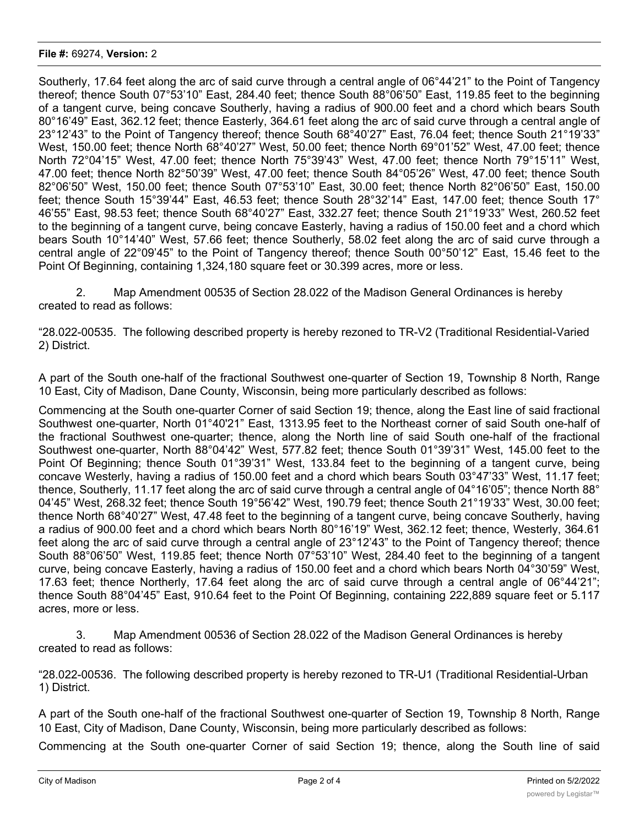#### **File #:** 69274, **Version:** 2

Southerly, 17.64 feet along the arc of said curve through a central angle of 06°44'21" to the Point of Tangency thereof; thence South 07°53'10" East, 284.40 feet; thence South 88°06'50" East, 119.85 feet to the beginning of a tangent curve, being concave Southerly, having a radius of 900.00 feet and a chord which bears South 80°16'49" East, 362.12 feet; thence Easterly, 364.61 feet along the arc of said curve through a central angle of 23°12'43" to the Point of Tangency thereof; thence South 68°40'27" East, 76.04 feet; thence South 21°19'33" West, 150.00 feet; thence North 68°40'27" West, 50.00 feet; thence North 69°01'52" West, 47.00 feet; thence North 72°04'15" West, 47.00 feet; thence North 75°39'43" West, 47.00 feet; thence North 79°15'11" West, 47.00 feet; thence North 82°50'39" West, 47.00 feet; thence South 84°05'26" West, 47.00 feet; thence South 82°06'50" West, 150.00 feet; thence South 07°53'10" East, 30.00 feet; thence North 82°06'50" East, 150.00 feet; thence South 15°39'44" East, 46.53 feet; thence South 28°32'14" East, 147.00 feet; thence South 17° 46'55" East, 98.53 feet; thence South 68°40'27" East, 332.27 feet; thence South 21°19'33" West, 260.52 feet to the beginning of a tangent curve, being concave Easterly, having a radius of 150.00 feet and a chord which bears South 10°14'40" West, 57.66 feet; thence Southerly, 58.02 feet along the arc of said curve through a central angle of 22°09'45" to the Point of Tangency thereof; thence South 00°50'12" East, 15.46 feet to the Point Of Beginning, containing 1,324,180 square feet or 30.399 acres, more or less.

2. Map Amendment 00535 of Section 28.022 of the Madison General Ordinances is hereby created to read as follows:

"28.022-00535. The following described property is hereby rezoned to TR-V2 (Traditional Residential-Varied 2) District.

A part of the South one-half of the fractional Southwest one-quarter of Section 19, Township 8 North, Range 10 East, City of Madison, Dane County, Wisconsin, being more particularly described as follows:

Commencing at the South one-quarter Corner of said Section 19; thence, along the East line of said fractional Southwest one-quarter, North 01°40'21" East, 1313.95 feet to the Northeast corner of said South one-half of the fractional Southwest one-quarter; thence, along the North line of said South one-half of the fractional Southwest one-quarter, North 88°04'42" West, 577.82 feet; thence South 01°39'31" West, 145.00 feet to the Point Of Beginning; thence South 01°39'31" West, 133.84 feet to the beginning of a tangent curve, being concave Westerly, having a radius of 150.00 feet and a chord which bears South 03°47'33" West, 11.17 feet; thence, Southerly, 11.17 feet along the arc of said curve through a central angle of 04°16'05"; thence North 88° 04'45" West, 268.32 feet; thence South 19°56'42" West, 190.79 feet; thence South 21°19'33" West, 30.00 feet; thence North 68°40'27" West, 47.48 feet to the beginning of a tangent curve, being concave Southerly, having a radius of 900.00 feet and a chord which bears North 80°16'19" West, 362.12 feet; thence, Westerly, 364.61 feet along the arc of said curve through a central angle of 23°12'43" to the Point of Tangency thereof; thence South 88°06'50" West, 119.85 feet; thence North 07°53'10" West, 284.40 feet to the beginning of a tangent curve, being concave Easterly, having a radius of 150.00 feet and a chord which bears North 04°30'59" West, 17.63 feet; thence Northerly, 17.64 feet along the arc of said curve through a central angle of 06°44'21"; thence South 88°04'45" East, 910.64 feet to the Point Of Beginning, containing 222,889 square feet or 5.117 acres, more or less.

3. Map Amendment 00536 of Section 28.022 of the Madison General Ordinances is hereby created to read as follows:

"28.022-00536. The following described property is hereby rezoned to TR-U1 (Traditional Residential-Urban 1) District.

A part of the South one-half of the fractional Southwest one-quarter of Section 19, Township 8 North, Range 10 East, City of Madison, Dane County, Wisconsin, being more particularly described as follows:

Commencing at the South one-quarter Corner of said Section 19; thence, along the South line of said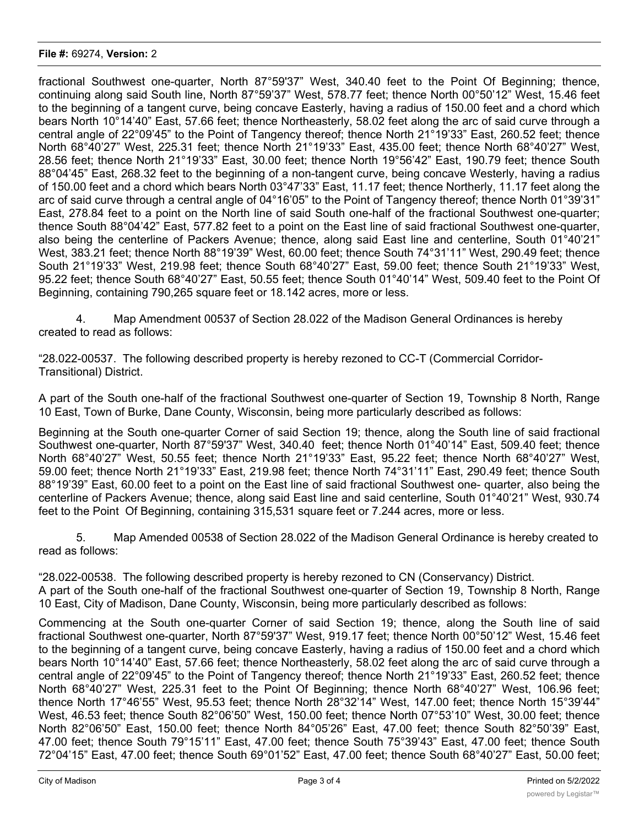## **File #:** 69274, **Version:** 2

fractional Southwest one-quarter, North 87°59'37" West, 340.40 feet to the Point Of Beginning; thence, continuing along said South line, North 87°59'37" West, 578.77 feet; thence North 00°50'12" West, 15.46 feet to the beginning of a tangent curve, being concave Easterly, having a radius of 150.00 feet and a chord which bears North 10°14'40" East, 57.66 feet; thence Northeasterly, 58.02 feet along the arc of said curve through a central angle of 22°09'45" to the Point of Tangency thereof; thence North 21°19'33" East, 260.52 feet; thence North 68°40'27" West, 225.31 feet; thence North 21°19'33" East, 435.00 feet; thence North 68°40'27" West, 28.56 feet; thence North 21°19'33" East, 30.00 feet; thence North 19°56'42" East, 190.79 feet; thence South 88°04'45" East, 268.32 feet to the beginning of a non-tangent curve, being concave Westerly, having a radius of 150.00 feet and a chord which bears North 03°47'33" East, 11.17 feet; thence Northerly, 11.17 feet along the arc of said curve through a central angle of 04°16'05" to the Point of Tangency thereof; thence North 01°39'31" East, 278.84 feet to a point on the North line of said South one-half of the fractional Southwest one-quarter; thence South 88°04'42" East, 577.82 feet to a point on the East line of said fractional Southwest one-quarter, also being the centerline of Packers Avenue; thence, along said East line and centerline, South 01°40'21" West, 383.21 feet; thence North 88°19'39" West, 60.00 feet; thence South 74°31'11" West, 290.49 feet; thence South 21°19'33" West, 219.98 feet; thence South 68°40'27" East, 59.00 feet; thence South 21°19'33" West, 95.22 feet; thence South 68°40'27" East, 50.55 feet; thence South 01°40'14" West, 509.40 feet to the Point Of Beginning, containing 790,265 square feet or 18.142 acres, more or less.

4. Map Amendment 00537 of Section 28.022 of the Madison General Ordinances is hereby created to read as follows:

"28.022-00537. The following described property is hereby rezoned to CC-T (Commercial Corridor-Transitional) District.

A part of the South one-half of the fractional Southwest one-quarter of Section 19, Township 8 North, Range 10 East, Town of Burke, Dane County, Wisconsin, being more particularly described as follows:

Beginning at the South one-quarter Corner of said Section 19; thence, along the South line of said fractional Southwest one-quarter, North 87°59'37" West, 340.40 feet; thence North 01°40'14" East, 509.40 feet; thence North 68°40'27" West, 50.55 feet; thence North 21°19'33" East, 95.22 feet; thence North 68°40'27" West, 59.00 feet; thence North 21°19'33" East, 219.98 feet; thence North 74°31'11" East, 290.49 feet; thence South 88°19'39" East, 60.00 feet to a point on the East line of said fractional Southwest one- quarter, also being the centerline of Packers Avenue; thence, along said East line and said centerline, South 01°40'21" West, 930.74 feet to the Point Of Beginning, containing 315,531 square feet or 7.244 acres, more or less.

5. Map Amended 00538 of Section 28.022 of the Madison General Ordinance is hereby created to read as follows:

"28.022-00538. The following described property is hereby rezoned to CN (Conservancy) District. A part of the South one-half of the fractional Southwest one-quarter of Section 19, Township 8 North, Range 10 East, City of Madison, Dane County, Wisconsin, being more particularly described as follows:

Commencing at the South one-quarter Corner of said Section 19; thence, along the South line of said fractional Southwest one-quarter, North 87°59'37" West, 919.17 feet; thence North 00°50'12" West, 15.46 feet to the beginning of a tangent curve, being concave Easterly, having a radius of 150.00 feet and a chord which bears North 10°14'40" East, 57.66 feet; thence Northeasterly, 58.02 feet along the arc of said curve through a central angle of 22°09'45" to the Point of Tangency thereof; thence North 21°19'33" East, 260.52 feet; thence North 68°40'27" West, 225.31 feet to the Point Of Beginning; thence North 68°40'27" West, 106.96 feet; thence North 17°46'55" West, 95.53 feet; thence North 28°32'14" West, 147.00 feet; thence North 15°39'44" West, 46.53 feet; thence South 82°06'50" West, 150.00 feet; thence North 07°53'10" West, 30.00 feet; thence North 82°06'50" East, 150.00 feet; thence North 84°05'26" East, 47.00 feet; thence South 82°50'39" East, 47.00 feet; thence South 79°15'11" East, 47.00 feet; thence South 75°39'43" East, 47.00 feet; thence South 72°04'15" East, 47.00 feet; thence South 69°01'52" East, 47.00 feet; thence South 68°40'27" East, 50.00 feet;